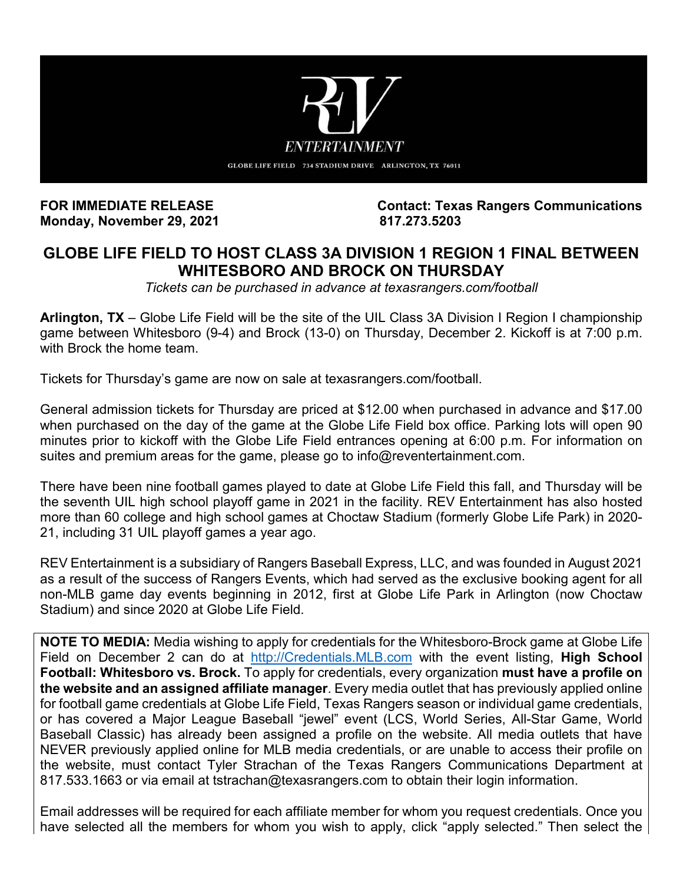

**Monday, November 29, 2021.** 

**FOR IMMEDIATE RELEASE Contact: Texas Rangers Communications**

## **GLOBE LIFE FIELD TO HOST CLASS 3A DIVISION 1 REGION 1 FINAL BETWEEN WHITESBORO AND BROCK ON THURSDAY**

*Tickets can be purchased in advance at texasrangers.com/football* 

**Arlington, TX** – Globe Life Field will be the site of the UIL Class 3A Division I Region I championship game between Whitesboro (9-4) and Brock (13-0) on Thursday, December 2. Kickoff is at 7:00 p.m. with Brock the home team.

Tickets for Thursday's game are now on sale at texasrangers.com/football.

General admission tickets for Thursday are priced at \$12.00 when purchased in advance and \$17.00 when purchased on the day of the game at the Globe Life Field box office. Parking lots will open 90 minutes prior to kickoff with the Globe Life Field entrances opening at 6:00 p.m. For information on suites and premium areas for the game, please go to info@reventertainment.com.

There have been nine football games played to date at Globe Life Field this fall, and Thursday will be the seventh UIL high school playoff game in 2021 in the facility. REV Entertainment has also hosted more than 60 college and high school games at Choctaw Stadium (formerly Globe Life Park) in 2020- 21, including 31 UIL playoff games a year ago.

REV Entertainment is a subsidiary of Rangers Baseball Express, LLC, and was founded in August 2021 as a result of the success of Rangers Events, which had served as the exclusive booking agent for all non-MLB game day events beginning in 2012, first at Globe Life Park in Arlington (now Choctaw Stadium) and since 2020 at Globe Life Field.

**NOTE TO MEDIA:** Media wishing to apply for credentials for the Whitesboro-Brock game at Globe Life Field on December 2 can do at [http://Credentials.MLB.com](https://protect-us.mimecast.com/s/SwaaCmZ27Vi5oAAGSGjw1s?domain=credentials.mlb.com) with the event listing, **High School Football: Whitesboro vs. Brock.** To apply for credentials, every organization **must have a profile on the website and an assigned affiliate manager**. Every media outlet that has previously applied online for football game credentials at Globe Life Field, Texas Rangers season or individual game credentials, or has covered a Major League Baseball "jewel" event (LCS, World Series, All-Star Game, World Baseball Classic) has already been assigned a profile on the website. All media outlets that have NEVER previously applied online for MLB media credentials, or are unable to access their profile on the website, must contact Tyler Strachan of the Texas Rangers Communications Department at 817.533.1663 or via email at tstrachan@texasrangers.com to obtain their login information.

Email addresses will be required for each affiliate member for whom you request credentials. Once you have selected all the members for whom you wish to apply, click "apply selected." Then select the